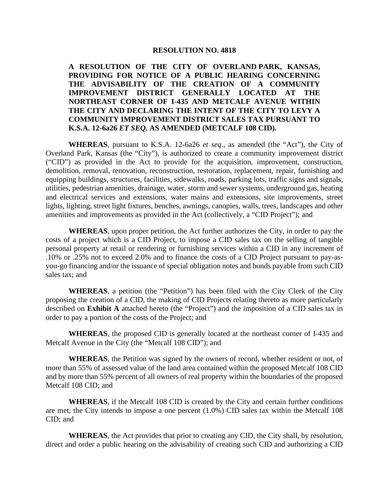#### **RESOLUTION NO. 4818**

**A RESOLUTION OF THE CITY OF OVERLAND PARK, KANSAS, PROVIDING FOR NOTICE OF A PUBLIC HEARING CONCERNING THE ADVISABILITY OF THE CREATION OF A COMMUNITY IMPROVEMENT DISTRICT GENERALLY LOCATED AT THE NORTHEAST CORNER OF I-435 AND METCALF AVENUE WITHIN THE CITY AND DECLARING THE INTENT OF THE CITY TO LEVY A COMMUNITY IMPROVEMENT DISTRICT SALES TAX PURSUANT TO K.S.A. 12-6a26** *ET SEQ***. AS AMENDED (METCALF 108 CID).** 

**WHEREAS**, pursuant to K.S.A. 12-6a26 *et seq*., as amended (the "Act"), the City of Overland Park, Kansas (the "City"), is authorized to create a community improvement district ("CID") as provided in the Act to provide for the acquisition, improvement, construction, demolition, removal, renovation, reconstruction, restoration, replacement, repair, furnishing and equipping buildings, structures, facilities, sidewalks, roads, parking lots, traffic signs and signals, utilities, pedestrian amenities, drainage, water, storm and sewer systems, underground gas, heating and electrical services and extensions, water mains and extensions, site improvements, street lights, lighting, street light fixtures, benches, awnings, canopies, walls, trees, landscapes and other amenities and improvements as provided in the Act (collectively, a "CID Project"); and

**WHEREAS**, upon proper petition, the Act further authorizes the City, in order to pay the costs of a project which is a CID Project, to impose a CID sales tax on the selling of tangible personal property at retail or rendering or furnishing services within a CID in any increment of .10% or .25% not to exceed 2.0% and to finance the costs of a CID Project pursuant to pay-asyou-go financing and/or the issuance of special obligation notes and bonds payable from such CID sales tax; and

**WHEREAS**, a petition (the "Petition") has been filed with the City Clerk of the City proposing the creation of a CID, the making of CID Projects relating thereto as more particularly described on **Exhibit A** attached hereto (the "Project") and the imposition of a CID sales tax in order to pay a portion of the costs of the Project; and

**WHEREAS**, the proposed CID is generally located at the northeast corner of I-435 and Metcalf Avenue in the City (the "Metcalf 108 CID"); and

**WHEREAS**, the Petition was signed by the owners of record, whether resident or not, of more than 55% of assessed value of the land area contained within the proposed Metcalf 108 CID and by more than 55% percent of all owners of real property within the boundaries of the proposed Metcalf 108 CID; and

**WHEREAS**, if the Metcalf 108 CID is created by the City and certain further conditions are met, the City intends to impose a one percent (1.0%) CID sales tax within the Metcalf 108 CID; and

**WHEREAS**, the Act provides that prior to creating any CID, the City shall, by resolution, direct and order a public hearing on the advisability of creating such CID and authorizing a CID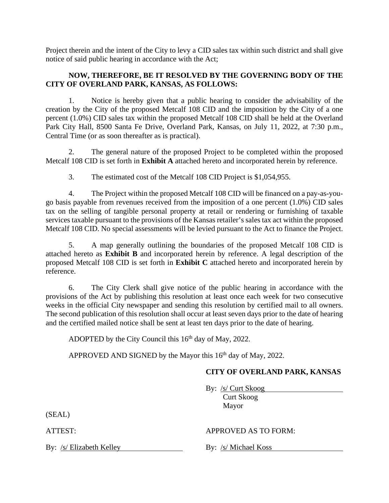Project therein and the intent of the City to levy a CID sales tax within such district and shall give notice of said public hearing in accordance with the Act;

## **NOW, THEREFORE, BE IT RESOLVED BY THE GOVERNING BODY OF THE CITY OF OVERLAND PARK, KANSAS, AS FOLLOWS:**

1. Notice is hereby given that a public hearing to consider the advisability of the creation by the City of the proposed Metcalf 108 CID and the imposition by the City of a one percent (1.0%) CID sales tax within the proposed Metcalf 108 CID shall be held at the Overland Park City Hall, 8500 Santa Fe Drive, Overland Park, Kansas, on July 11, 2022, at 7:30 p.m., Central Time (or as soon thereafter as is practical).

2. The general nature of the proposed Project to be completed within the proposed Metcalf 108 CID is set forth in **Exhibit A** attached hereto and incorporated herein by reference.

3. The estimated cost of the Metcalf 108 CID Project is \$1,054,955.

4. The Project within the proposed Metcalf 108 CID will be financed on a pay-as-yougo basis payable from revenues received from the imposition of a one percent (1.0%) CID sales tax on the selling of tangible personal property at retail or rendering or furnishing of taxable services taxable pursuant to the provisions of the Kansas retailer's sales tax act within the proposed Metcalf 108 CID. No special assessments will be levied pursuant to the Act to finance the Project.

5. A map generally outlining the boundaries of the proposed Metcalf 108 CID is attached hereto as **Exhibit B** and incorporated herein by reference. A legal description of the proposed Metcalf 108 CID is set forth in **Exhibit C** attached hereto and incorporated herein by reference.

6. The City Clerk shall give notice of the public hearing in accordance with the provisions of the Act by publishing this resolution at least once each week for two consecutive weeks in the official City newspaper and sending this resolution by certified mail to all owners. The second publication of this resolution shall occur at least seven days prior to the date of hearing and the certified mailed notice shall be sent at least ten days prior to the date of hearing.

ADOPTED by the City Council this  $16<sup>th</sup>$  day of May, 2022.

APPROVED AND SIGNED by the Mayor this 16<sup>th</sup> day of May, 2022.

## **CITY OF OVERLAND PARK, KANSAS**

By: /s/ Curt Skoog

Curt Skoog Mayor

(SEAL)

By: /s/ Elizabeth Kelley By: /s/ Michael Koss

### ATTEST: APPROVED AS TO FORM: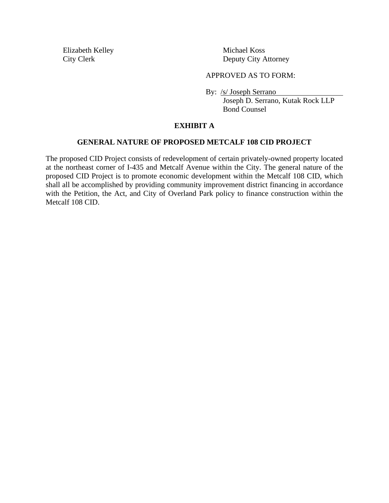Elizabeth Kelley Michael Koss

City Clerk Deputy City Attorney

#### APPROVED AS TO FORM:

By: /s/ Joseph Serrano

Joseph D. Serrano, Kutak Rock LLP Bond Counsel

## **EXHIBIT A**

#### **GENERAL NATURE OF PROPOSED METCALF 108 CID PROJECT**

The proposed CID Project consists of redevelopment of certain privately-owned property located at the northeast corner of I-435 and Metcalf Avenue within the City. The general nature of the proposed CID Project is to promote economic development within the Metcalf 108 CID, which shall all be accomplished by providing community improvement district financing in accordance with the Petition, the Act, and City of Overland Park policy to finance construction within the Metcalf 108 CID.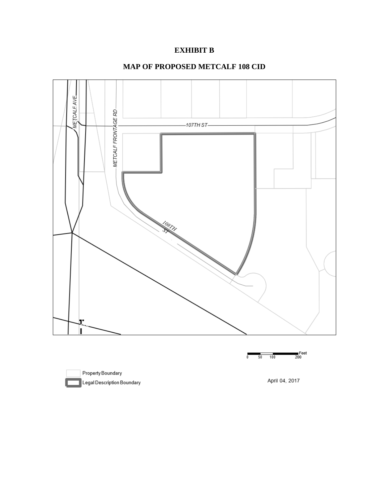# **EXHIBIT B**

## **MAP OF PROPOSED METCALF 108 CID**